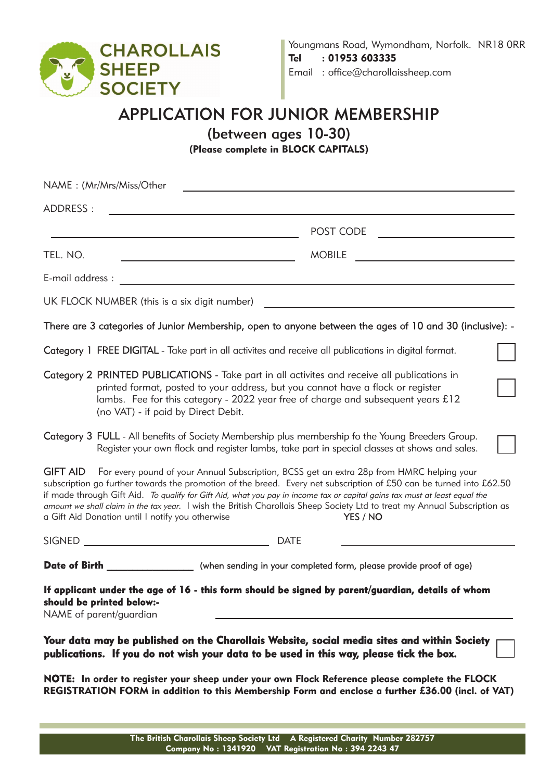

## APPLICATION FOR JUNIOR MEMBERSHIP

(between ages 10-30)

(Please complete in BLOCK CAPITALS)

|                  | NAME: (Mr/Mrs/Miss/Other                             |                                                                                                                                                                                                                                                                                                                                                                                                                                                                                                                                                                                                                                                                                                                                                                                                                                                                                                                                                                         |
|------------------|------------------------------------------------------|-------------------------------------------------------------------------------------------------------------------------------------------------------------------------------------------------------------------------------------------------------------------------------------------------------------------------------------------------------------------------------------------------------------------------------------------------------------------------------------------------------------------------------------------------------------------------------------------------------------------------------------------------------------------------------------------------------------------------------------------------------------------------------------------------------------------------------------------------------------------------------------------------------------------------------------------------------------------------|
| ADDRESS:         |                                                      |                                                                                                                                                                                                                                                                                                                                                                                                                                                                                                                                                                                                                                                                                                                                                                                                                                                                                                                                                                         |
|                  |                                                      | POST CODE                                                                                                                                                                                                                                                                                                                                                                                                                                                                                                                                                                                                                                                                                                                                                                                                                                                                                                                                                               |
| TEL. NO.         |                                                      | <b>MOBILE</b>                                                                                                                                                                                                                                                                                                                                                                                                                                                                                                                                                                                                                                                                                                                                                                                                                                                                                                                                                           |
| E-mail address : |                                                      | <u> 1980 - Johann Barn, mars ann an t-Amhain an t-Amhain an t-Amhain an t-Amhain an t-Amhain an t-Amhain an t-Amh</u>                                                                                                                                                                                                                                                                                                                                                                                                                                                                                                                                                                                                                                                                                                                                                                                                                                                   |
|                  | UK FLOCK NUMBER (this is a six digit number)         |                                                                                                                                                                                                                                                                                                                                                                                                                                                                                                                                                                                                                                                                                                                                                                                                                                                                                                                                                                         |
|                  |                                                      | There are 3 categories of Junior Membership, open to anyone between the ages of 10 and 30 (inclusive): -                                                                                                                                                                                                                                                                                                                                                                                                                                                                                                                                                                                                                                                                                                                                                                                                                                                                |
|                  |                                                      | Category 1 FREE DIGITAL - Take part in all activites and receive all publications in digital format.                                                                                                                                                                                                                                                                                                                                                                                                                                                                                                                                                                                                                                                                                                                                                                                                                                                                    |
|                  | (no VAT) - if paid by Direct Debit.                  | Category 2 PRINTED PUBLICATIONS - Take part in all activites and receive all publications in<br>printed format, posted to your address, but you cannot have a flock or register<br>lambs. Fee for this category - 2022 year free of charge and subsequent years £12<br><b>Category 3 FULL</b> - All benefits of Society Membership plus membership fo the Young Breeders Group.<br>Register your own flock and register lambs, take part in special classes at shows and sales.<br>GIFT AID For every pound of your Annual Subscription, BCSS get an extra 28p from HMRC helping your<br>subscription go further towards the promotion of the breed. Every net subscription of £50 can be turned into £62.50<br>if made through Gift Aid. To qualify for Gift Aid, what you pay in income tax or capital gains tax must at least equal the<br>amount we shall claim in the tax year. I wish the British Charollais Sheep Society Ltd to treat my Annual Subscription as |
| SIGNED           | a Gift Aid Donation until I notify you otherwise     | YES / NO<br><b>DATE</b>                                                                                                                                                                                                                                                                                                                                                                                                                                                                                                                                                                                                                                                                                                                                                                                                                                                                                                                                                 |
|                  |                                                      | <b>Date of Birth</b> <u><b>notational</b></u> (when sending in your completed form, please provide proof of age)                                                                                                                                                                                                                                                                                                                                                                                                                                                                                                                                                                                                                                                                                                                                                                                                                                                        |
|                  | should be printed below:-<br>NAME of parent/guardian | If applicant under the age of 16 - this form should be signed by parent/guardian, details of whom                                                                                                                                                                                                                                                                                                                                                                                                                                                                                                                                                                                                                                                                                                                                                                                                                                                                       |
|                  |                                                      | Your data may be published on the Charollais Website, social media sites and within Society<br>publications. If you do not wish your data to be used in this way, please tick the box.                                                                                                                                                                                                                                                                                                                                                                                                                                                                                                                                                                                                                                                                                                                                                                                  |
|                  |                                                      | NOTE: In order to register your sheep under your own Flock Reference please complete the FLOCK<br>REGISTRATION FORM in addition to this Membership Form and enclose a further £36.00 (incl. of VAT)                                                                                                                                                                                                                                                                                                                                                                                                                                                                                                                                                                                                                                                                                                                                                                     |